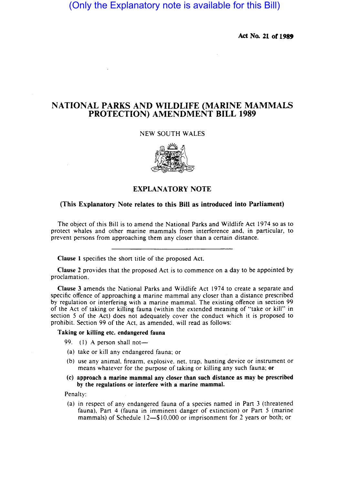# (Only the Explanatory note is available for this Bill)

Act No. 21 of 1989

# NATIONAL PARKS AND WILDLIFE (MARINE MAMMALS PROTECTION) AMENDMENT BILL 1989

### NEW SOUTH WALES



## EXPLANATORY NOTE

#### (This Explanatory Note relates to this Bill as introduced into Parliament)

The object of this Bill is to amend the National Parks and Wildlife Act 1974 so as to protect whales and other marine mammals from interference and, in particular, to prevent persons from approaching them any closer than a certain distance.

Clause 1 specifies the short title of the proposed Act.

Clause 2 provides that the proposed Act is to commence on a day to be appointed by proclamation.

Clause 3 amends the National Parks and Wildlife Act 1974 to create a separate and specific offence of approaching a marine mammal any closer than a distance prescribed by regulation or interfering with a marine mammal. The existing offence in section 99 of the Act of taking or killing fauna (within the extended meaning of "take or kill" in section 5 of the Act) does not adequately cover the conduct which it is proposed to prohibit. Section 99 of the Act, as amended, will read as follows:

## Taking or killing etc. endangered fauna

- 99. (1) A person shall not-
- (a) take or kill any endangered fauna; or
- (b) use any animal, firearm, explosive. net, trap, hunting device or instrument or means whatever for the purpose of taking or killing any such fauna; or
- (c) approach a marine mammal any closer than such distance as may be prescribed by the regulations or interfere with a marine mammal.

Penalty:

(a) in respect of any endangered fauna of a species named in Part 3 (threatened fauna), Part 4 (fauna in imminent danger of extinction) or Part 5 (marine mammals) of Schedule  $12-10,000$  or imprisonment for 2 years or both; or